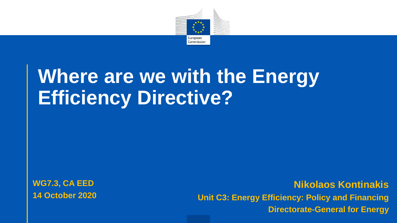

# **Where are we with the Energy Efficiency Directive?**

**WG7.3, CA EED 14 October 2020**

**Nikolaos Kontinakis Unit C3: Energy Efficiency: Policy and Financing Directorate-General for Energy**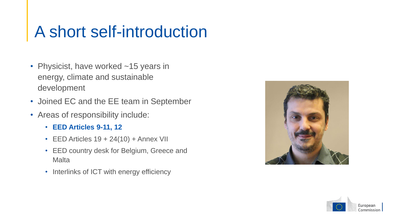### A short self-introduction

- Physicist, have worked ~15 years in energy, climate and sustainable development
- Joined EC and the EE team in September
- Areas of responsibility include:
	- **EED Articles 9-11, 12**
	- EED Articles  $19 + 24(10) +$  Annex VII
	- EED country desk for Belgium, Greece and **Malta**
	- Interlinks of ICT with energy efficiency



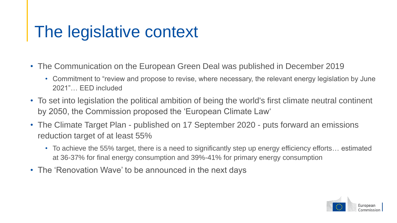# The legislative context

- The Communication on the European Green Deal was published in December 2019
	- Commitment to "review and propose to revise, where necessary, the relevant energy legislation by June 2021"… EED included
- To set into legislation the political ambition of being the world's first climate neutral continent by 2050, the Commission proposed the 'European Climate Law'
- The Climate Target Plan published on 17 September 2020 puts forward an emissions reduction target of at least 55%
	- To achieve the 55% target, there is a need to significantly step up energy efficiency efforts... estimated at 36-37% for final energy consumption and 39%-41% for primary energy consumption
- The 'Renovation Wave' to be announced in the next days

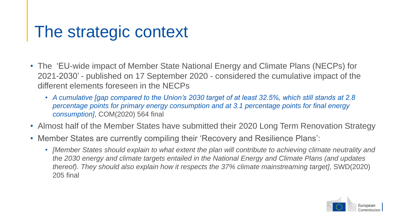### The strategic context

- The 'EU-wide impact of Member State National Energy and Climate Plans (NECPs) for 2021-2030' - published on 17 September 2020 - considered the cumulative impact of the different elements foreseen in the NECPs
	- *A cumulative [gap compared to the Union's 2030 target of at least 32.5%, which still stands at 2.8 percentage points for primary energy consumption and at 3.1 percentage points for final energy consumption]*, COM(2020) 564 final
- Almost half of the Member States have submitted their 2020 Long Term Renovation Strategy
- Member States are currently compiling their 'Recovery and Resilience Plans':
	- *[Member States should explain to what extent the plan will contribute to achieving climate neutrality and the 2030 energy and climate targets entailed in the National Energy and Climate Plans (and updates thereof). They should also explain how it respects the 37% climate mainstreaming target]*, SWD(2020) 205 final

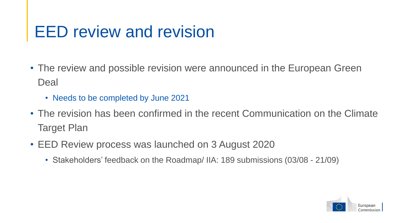# EED review and revision

- The review and possible revision were announced in the European Green Deal
	- Needs to be completed by June 2021
- The revision has been confirmed in the recent Communication on the Climate Target Plan
- EED Review process was launched on 3 August 2020
	- Stakeholders' feedback on the Roadmap/ IIA: 189 submissions (03/08 21/09)

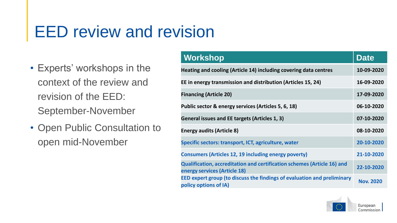# EED review and revision

- Experts' workshops in the context of the review and revision of the EED: September-November
- Open Public Consultation to open mid-November

| <b>Workshop</b>                                                                                         | <b>Date</b>      |
|---------------------------------------------------------------------------------------------------------|------------------|
| Heating and cooling (Article 14) including covering data centres                                        | 10-09-2020       |
| EE in energy transmission and distribution (Articles 15, 24)                                            | 16-09-2020       |
| <b>Financing (Article 20)</b>                                                                           | 17-09-2020       |
| Public sector & energy services (Articles 5, 6, 18)                                                     | 06-10-2020       |
| General issues and EE targets (Articles 1, 3)                                                           | 07-10-2020       |
| <b>Energy audits (Article 8)</b>                                                                        | 08-10-2020       |
| Specific sectors: transport, ICT, agriculture, water                                                    | 20-10-2020       |
| <b>Consumers (Articles 12, 19 including energy poverty)</b>                                             | 21-10-2020       |
| Qualification, accreditation and certification schemes (Article 16) and<br>energy services (Article 18) | 22-10-2020       |
| EED expert group (to discuss the findings of evaluation and preliminary<br>policy options of IA)        | <b>Nov. 2020</b> |

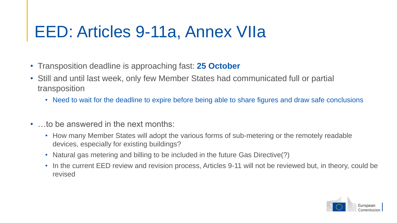### EED: Articles 9-11a, Annex VIIa

- Transposition deadline is approaching fast: **25 October**
- Still and until last week, only few Member States had communicated full or partial transposition
	- Need to wait for the deadline to expire before being able to share figures and draw safe conclusions
- …to be answered in the next months:
	- How many Member States will adopt the various forms of sub-metering or the remotely readable devices, especially for existing buildings?
	- Natural gas metering and billing to be included in the future Gas Directive(?)
	- In the current EED review and revision process, Articles 9-11 will not be reviewed but, in theory, could be revised